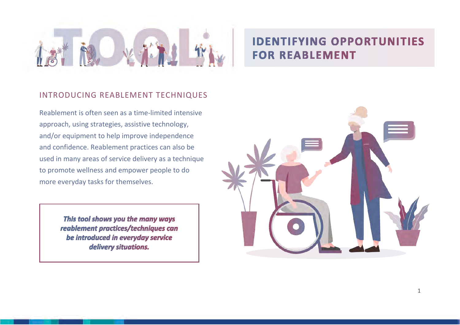

# **IDENTIFYING OPPORTUNITIES FOR REABLEMENT**

## INTRODUCING REABLEMENT TECHNIQUES

Reablement is often seen as a time-limited intensive approach, using strategies, assistive technology, and/or equipment to help improve independence and confidence. Reablement practices can also be used in many areas of service delivery as a technique to promote wellness and empower people to do more everyday tasks for themselves.

> This tool shows you the many ways reablement practices/techniques can be introduced in everyday service delivery situations.

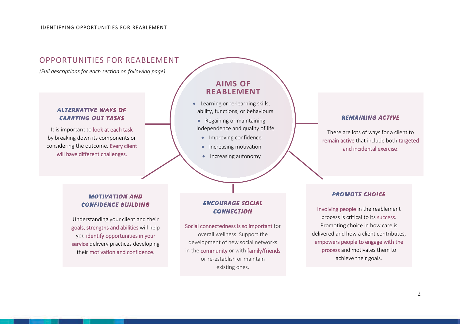

goals, strengths and abilities will help you identify opportunities in your service delivery practices developing their motivation and confidence.

Social connectedness is so important for overall wellness. Support the development of new social networks in the community or with family/friends or re-establish or maintain existing ones.

#### process and motivates them to

achieve their goals.

delivered and how a client contributes, empowers people to engage with the